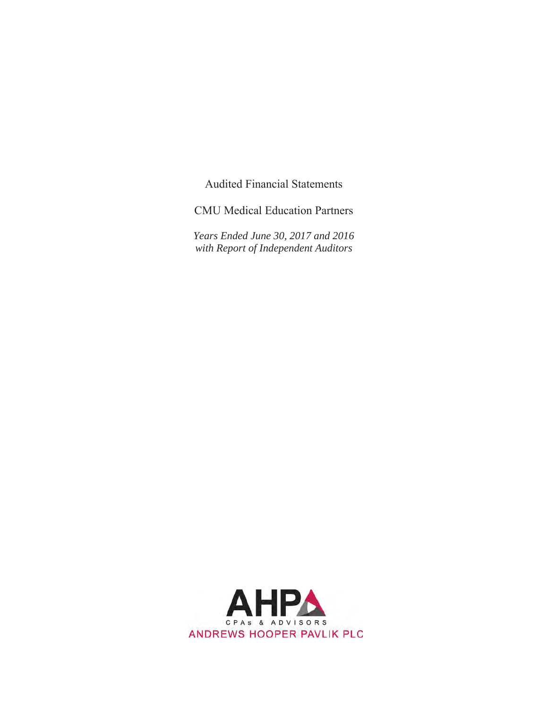**Audited Financial Statements** 

**CMU** Medical Education Partners

Years Ended June 30, 2017 and 2016 with Report of Independent Auditors

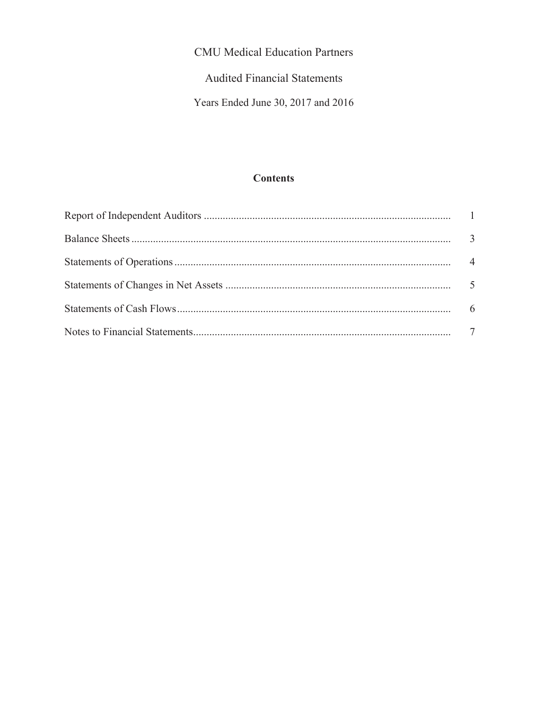# Audited Financial Statements

Years Ended June 30, 2017 and 2016

## **Contents**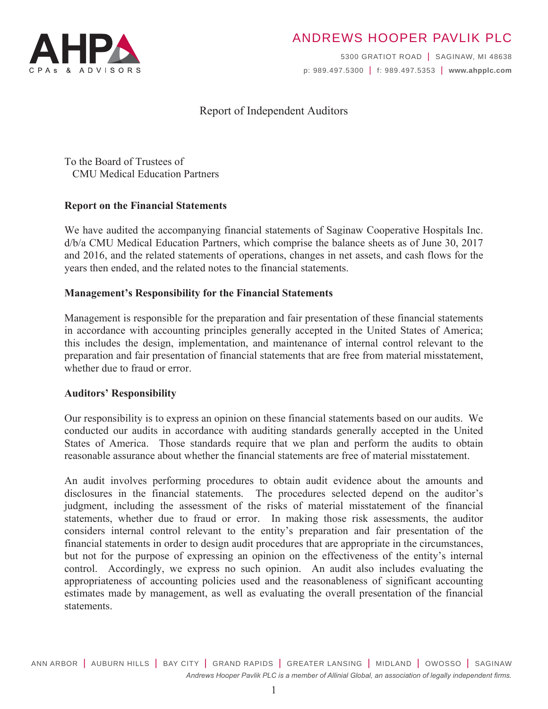

# ANDREWS HOOPER PAVLIK PLC

5300 GRATIOT ROAD | SAGINAW, MI 48638 p: 989.497.5300 | f: 989.497.5353 | www.ahpplc.com

## Report of Independent Auditors

To the Board of Trustees of **CMU Medical Education Partners** 

## **Report on the Financial Statements**

We have audited the accompanying financial statements of Saginaw Cooperative Hospitals Inc. d/b/a CMU Medical Education Partners, which comprise the balance sheets as of June 30, 2017 and 2016, and the related statements of operations, changes in net assets, and cash flows for the years then ended, and the related notes to the financial statements.

## **Management's Responsibility for the Financial Statements**

Management is responsible for the preparation and fair presentation of these financial statements in accordance with accounting principles generally accepted in the United States of America; this includes the design, implementation, and maintenance of internal control relevant to the preparation and fair presentation of financial statements that are free from material misstatement, whether due to fraud or error.

## **Auditors' Responsibility**

Our responsibility is to express an opinion on these financial statements based on our audits. We conducted our audits in accordance with auditing standards generally accepted in the United States of America. Those standards require that we plan and perform the audits to obtain reasonable assurance about whether the financial statements are free of material misstatement.

An audit involves performing procedures to obtain audit evidence about the amounts and disclosures in the financial statements. The procedures selected depend on the auditor's judgment, including the assessment of the risks of material misstatement of the financial statements, whether due to fraud or error. In making those risk assessments, the auditor considers internal control relevant to the entity's preparation and fair presentation of the financial statements in order to design audit procedures that are appropriate in the circumstances, but not for the purpose of expressing an opinion on the effectiveness of the entity's internal control. Accordingly, we express no such opinion. An audit also includes evaluating the appropriateness of accounting policies used and the reasonableness of significant accounting estimates made by management, as well as evaluating the overall presentation of the financial statements.

ANN ARBOR | AUBURN HILLS | BAY CITY | GRAND RAPIDS | GREATER LANSING | MIDLAND | OWOSSO | SAGINAW Andrews Hooper Pavlik PLC is a member of Allinial Global, an association of legally independent firms.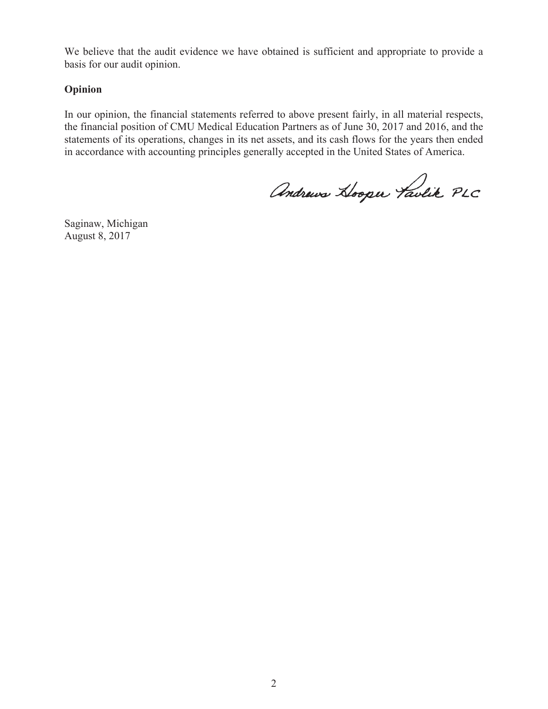We believe that the audit evidence we have obtained is sufficient and appropriate to provide a basis for our audit opinion.

## Opinion

In our opinion, the financial statements referred to above present fairly, in all material respects, the financial position of CMU Medical Education Partners as of June 30, 2017 and 2016, and the statements of its operations, changes in its net assets, and its cash flows for the years then ended in accordance with accounting principles generally accepted in the United States of America.

Andrews Hooper Paulik PLC

Saginaw, Michigan August 8, 2017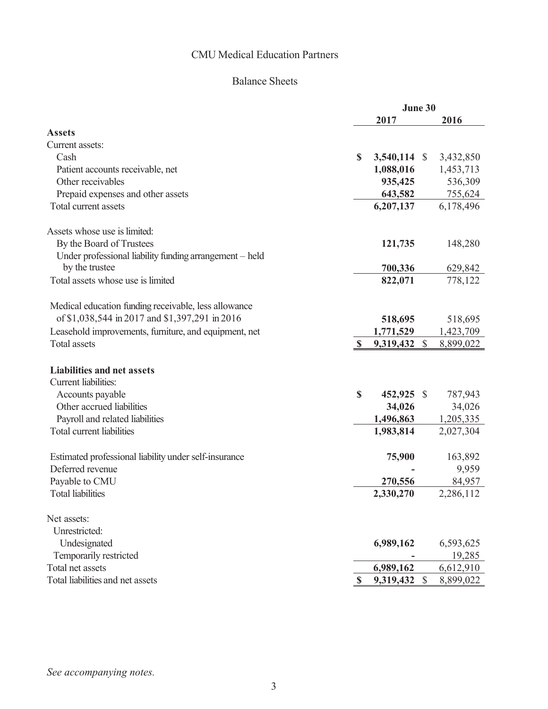# **Balance Sheets**

| 2017<br>2016<br>\$<br>$3,540,114$ \$<br>3,432,850<br>Cash<br>1,453,713<br>Patient accounts receivable, net<br>1,088,016<br>Other receivables<br>935,425<br>536,309<br>Prepaid expenses and other assets<br>643,582<br>755,624<br>Total current assets<br>6,207,137<br>6,178,496<br>By the Board of Trustees<br>121,735<br>148,280<br>Under professional liability funding arrangement - held<br>by the trustee<br>700,336<br>629,842<br>778,122<br>Total assets whose use is limited<br>822,071<br>Medical education funding receivable, less allowance<br>of \$1,038,544 in 2017 and \$1,397,291 in 2016<br>518,695<br>518,695<br>Leasehold improvements, furniture, and equipment, net<br>1,423,709<br>1,771,529<br><b>Total assets</b><br>9,319,432<br>$\mathbb{S}$<br>8,899,022<br>$\mathbf{s}$<br><b>Liabilities and net assets</b><br>Current liabilities:<br>\$<br>Accounts payable<br>452,925 \$<br>787,943<br>Other accrued liabilities<br>34,026<br>34,026<br>1,205,335<br>Payroll and related liabilities<br>1,496,863<br><b>Total current liabilities</b><br>1,983,814<br>2,027,304<br>Estimated professional liability under self-insurance<br>163,892<br>75,900<br>Deferred revenue<br>9,959<br>84,957<br>Payable to CMU<br>270,556<br><b>Total liabilities</b><br>2,330,270<br>2,286,112<br>Unrestricted:<br>Undesignated<br>6,989,162<br>6,593,625<br>19,285<br>Temporarily restricted<br>Total net assets<br>6,989,162<br>6,612,910<br>Total liabilities and net assets<br>9,319,432<br>8,899,022<br>$\mathbf{s}$<br>S |                              | June 30 |  |
|-----------------------------------------------------------------------------------------------------------------------------------------------------------------------------------------------------------------------------------------------------------------------------------------------------------------------------------------------------------------------------------------------------------------------------------------------------------------------------------------------------------------------------------------------------------------------------------------------------------------------------------------------------------------------------------------------------------------------------------------------------------------------------------------------------------------------------------------------------------------------------------------------------------------------------------------------------------------------------------------------------------------------------------------------------------------------------------------------------------------------------------------------------------------------------------------------------------------------------------------------------------------------------------------------------------------------------------------------------------------------------------------------------------------------------------------------------------------------------------------------------------------------------------------|------------------------------|---------|--|
|                                                                                                                                                                                                                                                                                                                                                                                                                                                                                                                                                                                                                                                                                                                                                                                                                                                                                                                                                                                                                                                                                                                                                                                                                                                                                                                                                                                                                                                                                                                                         |                              |         |  |
|                                                                                                                                                                                                                                                                                                                                                                                                                                                                                                                                                                                                                                                                                                                                                                                                                                                                                                                                                                                                                                                                                                                                                                                                                                                                                                                                                                                                                                                                                                                                         | <b>Assets</b>                |         |  |
|                                                                                                                                                                                                                                                                                                                                                                                                                                                                                                                                                                                                                                                                                                                                                                                                                                                                                                                                                                                                                                                                                                                                                                                                                                                                                                                                                                                                                                                                                                                                         | Current assets:              |         |  |
|                                                                                                                                                                                                                                                                                                                                                                                                                                                                                                                                                                                                                                                                                                                                                                                                                                                                                                                                                                                                                                                                                                                                                                                                                                                                                                                                                                                                                                                                                                                                         |                              |         |  |
|                                                                                                                                                                                                                                                                                                                                                                                                                                                                                                                                                                                                                                                                                                                                                                                                                                                                                                                                                                                                                                                                                                                                                                                                                                                                                                                                                                                                                                                                                                                                         |                              |         |  |
|                                                                                                                                                                                                                                                                                                                                                                                                                                                                                                                                                                                                                                                                                                                                                                                                                                                                                                                                                                                                                                                                                                                                                                                                                                                                                                                                                                                                                                                                                                                                         |                              |         |  |
|                                                                                                                                                                                                                                                                                                                                                                                                                                                                                                                                                                                                                                                                                                                                                                                                                                                                                                                                                                                                                                                                                                                                                                                                                                                                                                                                                                                                                                                                                                                                         |                              |         |  |
|                                                                                                                                                                                                                                                                                                                                                                                                                                                                                                                                                                                                                                                                                                                                                                                                                                                                                                                                                                                                                                                                                                                                                                                                                                                                                                                                                                                                                                                                                                                                         |                              |         |  |
|                                                                                                                                                                                                                                                                                                                                                                                                                                                                                                                                                                                                                                                                                                                                                                                                                                                                                                                                                                                                                                                                                                                                                                                                                                                                                                                                                                                                                                                                                                                                         | Assets whose use is limited: |         |  |
|                                                                                                                                                                                                                                                                                                                                                                                                                                                                                                                                                                                                                                                                                                                                                                                                                                                                                                                                                                                                                                                                                                                                                                                                                                                                                                                                                                                                                                                                                                                                         |                              |         |  |
|                                                                                                                                                                                                                                                                                                                                                                                                                                                                                                                                                                                                                                                                                                                                                                                                                                                                                                                                                                                                                                                                                                                                                                                                                                                                                                                                                                                                                                                                                                                                         |                              |         |  |
|                                                                                                                                                                                                                                                                                                                                                                                                                                                                                                                                                                                                                                                                                                                                                                                                                                                                                                                                                                                                                                                                                                                                                                                                                                                                                                                                                                                                                                                                                                                                         |                              |         |  |
|                                                                                                                                                                                                                                                                                                                                                                                                                                                                                                                                                                                                                                                                                                                                                                                                                                                                                                                                                                                                                                                                                                                                                                                                                                                                                                                                                                                                                                                                                                                                         |                              |         |  |
|                                                                                                                                                                                                                                                                                                                                                                                                                                                                                                                                                                                                                                                                                                                                                                                                                                                                                                                                                                                                                                                                                                                                                                                                                                                                                                                                                                                                                                                                                                                                         |                              |         |  |
|                                                                                                                                                                                                                                                                                                                                                                                                                                                                                                                                                                                                                                                                                                                                                                                                                                                                                                                                                                                                                                                                                                                                                                                                                                                                                                                                                                                                                                                                                                                                         |                              |         |  |
|                                                                                                                                                                                                                                                                                                                                                                                                                                                                                                                                                                                                                                                                                                                                                                                                                                                                                                                                                                                                                                                                                                                                                                                                                                                                                                                                                                                                                                                                                                                                         |                              |         |  |
|                                                                                                                                                                                                                                                                                                                                                                                                                                                                                                                                                                                                                                                                                                                                                                                                                                                                                                                                                                                                                                                                                                                                                                                                                                                                                                                                                                                                                                                                                                                                         |                              |         |  |
|                                                                                                                                                                                                                                                                                                                                                                                                                                                                                                                                                                                                                                                                                                                                                                                                                                                                                                                                                                                                                                                                                                                                                                                                                                                                                                                                                                                                                                                                                                                                         |                              |         |  |
|                                                                                                                                                                                                                                                                                                                                                                                                                                                                                                                                                                                                                                                                                                                                                                                                                                                                                                                                                                                                                                                                                                                                                                                                                                                                                                                                                                                                                                                                                                                                         |                              |         |  |
|                                                                                                                                                                                                                                                                                                                                                                                                                                                                                                                                                                                                                                                                                                                                                                                                                                                                                                                                                                                                                                                                                                                                                                                                                                                                                                                                                                                                                                                                                                                                         |                              |         |  |
|                                                                                                                                                                                                                                                                                                                                                                                                                                                                                                                                                                                                                                                                                                                                                                                                                                                                                                                                                                                                                                                                                                                                                                                                                                                                                                                                                                                                                                                                                                                                         |                              |         |  |
|                                                                                                                                                                                                                                                                                                                                                                                                                                                                                                                                                                                                                                                                                                                                                                                                                                                                                                                                                                                                                                                                                                                                                                                                                                                                                                                                                                                                                                                                                                                                         |                              |         |  |
|                                                                                                                                                                                                                                                                                                                                                                                                                                                                                                                                                                                                                                                                                                                                                                                                                                                                                                                                                                                                                                                                                                                                                                                                                                                                                                                                                                                                                                                                                                                                         |                              |         |  |
|                                                                                                                                                                                                                                                                                                                                                                                                                                                                                                                                                                                                                                                                                                                                                                                                                                                                                                                                                                                                                                                                                                                                                                                                                                                                                                                                                                                                                                                                                                                                         |                              |         |  |
|                                                                                                                                                                                                                                                                                                                                                                                                                                                                                                                                                                                                                                                                                                                                                                                                                                                                                                                                                                                                                                                                                                                                                                                                                                                                                                                                                                                                                                                                                                                                         |                              |         |  |
|                                                                                                                                                                                                                                                                                                                                                                                                                                                                                                                                                                                                                                                                                                                                                                                                                                                                                                                                                                                                                                                                                                                                                                                                                                                                                                                                                                                                                                                                                                                                         |                              |         |  |
|                                                                                                                                                                                                                                                                                                                                                                                                                                                                                                                                                                                                                                                                                                                                                                                                                                                                                                                                                                                                                                                                                                                                                                                                                                                                                                                                                                                                                                                                                                                                         |                              |         |  |
|                                                                                                                                                                                                                                                                                                                                                                                                                                                                                                                                                                                                                                                                                                                                                                                                                                                                                                                                                                                                                                                                                                                                                                                                                                                                                                                                                                                                                                                                                                                                         |                              |         |  |
|                                                                                                                                                                                                                                                                                                                                                                                                                                                                                                                                                                                                                                                                                                                                                                                                                                                                                                                                                                                                                                                                                                                                                                                                                                                                                                                                                                                                                                                                                                                                         | Net assets:                  |         |  |
|                                                                                                                                                                                                                                                                                                                                                                                                                                                                                                                                                                                                                                                                                                                                                                                                                                                                                                                                                                                                                                                                                                                                                                                                                                                                                                                                                                                                                                                                                                                                         |                              |         |  |
|                                                                                                                                                                                                                                                                                                                                                                                                                                                                                                                                                                                                                                                                                                                                                                                                                                                                                                                                                                                                                                                                                                                                                                                                                                                                                                                                                                                                                                                                                                                                         |                              |         |  |
|                                                                                                                                                                                                                                                                                                                                                                                                                                                                                                                                                                                                                                                                                                                                                                                                                                                                                                                                                                                                                                                                                                                                                                                                                                                                                                                                                                                                                                                                                                                                         |                              |         |  |
|                                                                                                                                                                                                                                                                                                                                                                                                                                                                                                                                                                                                                                                                                                                                                                                                                                                                                                                                                                                                                                                                                                                                                                                                                                                                                                                                                                                                                                                                                                                                         |                              |         |  |
|                                                                                                                                                                                                                                                                                                                                                                                                                                                                                                                                                                                                                                                                                                                                                                                                                                                                                                                                                                                                                                                                                                                                                                                                                                                                                                                                                                                                                                                                                                                                         |                              |         |  |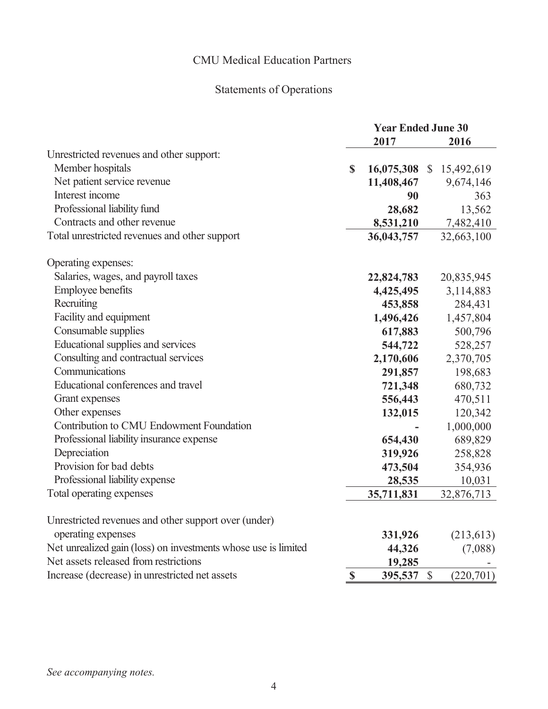# Statements of Operations

|                                                                | <b>Year Ended June 30</b> |                 |              |            |
|----------------------------------------------------------------|---------------------------|-----------------|--------------|------------|
|                                                                |                           | 2017            |              | 2016       |
| Unrestricted revenues and other support:                       |                           |                 |              |            |
| Member hospitals                                               | $\mathbf S$               | $16,075,308$ \$ |              | 15,492,619 |
| Net patient service revenue                                    |                           | 11,408,467      |              | 9,674,146  |
| Interest income                                                |                           | 90              |              | 363        |
| Professional liability fund                                    |                           | 28,682          |              | 13,562     |
| Contracts and other revenue                                    |                           | 8,531,210       |              | 7,482,410  |
| Total unrestricted revenues and other support                  |                           | 36,043,757      |              | 32,663,100 |
| Operating expenses:                                            |                           |                 |              |            |
| Salaries, wages, and payroll taxes                             |                           | 22,824,783      |              | 20,835,945 |
| <b>Employee benefits</b>                                       |                           | 4,425,495       |              | 3,114,883  |
| Recruiting                                                     |                           | 453,858         |              | 284,431    |
| Facility and equipment                                         |                           | 1,496,426       |              | 1,457,804  |
| Consumable supplies                                            |                           | 617,883         |              | 500,796    |
| Educational supplies and services                              |                           | 544,722         |              | 528,257    |
| Consulting and contractual services                            |                           | 2,170,606       |              | 2,370,705  |
| Communications                                                 |                           | 291,857         |              | 198,683    |
| Educational conferences and travel                             |                           | 721,348         |              | 680,732    |
| Grant expenses                                                 |                           | 556,443         |              | 470,511    |
| Other expenses                                                 |                           | 132,015         |              | 120,342    |
| Contribution to CMU Endowment Foundation                       |                           |                 |              | 1,000,000  |
| Professional liability insurance expense                       |                           | 654,430         |              | 689,829    |
| Depreciation                                                   |                           | 319,926         |              | 258,828    |
| Provision for bad debts                                        |                           | 473,504         |              | 354,936    |
| Professional liability expense                                 |                           | 28,535          |              | 10,031     |
| Total operating expenses                                       |                           | 35,711,831      |              | 32,876,713 |
| Unrestricted revenues and other support over (under)           |                           |                 |              |            |
| operating expenses                                             |                           | 331,926         |              | (213, 613) |
| Net unrealized gain (loss) on investments whose use is limited |                           | 44,326          |              | (7,088)    |
| Net assets released from restrictions                          |                           | 19,285          |              |            |
| Increase (decrease) in unrestricted net assets                 | S                         | 395,537         | $\mathbb{S}$ | (220, 701) |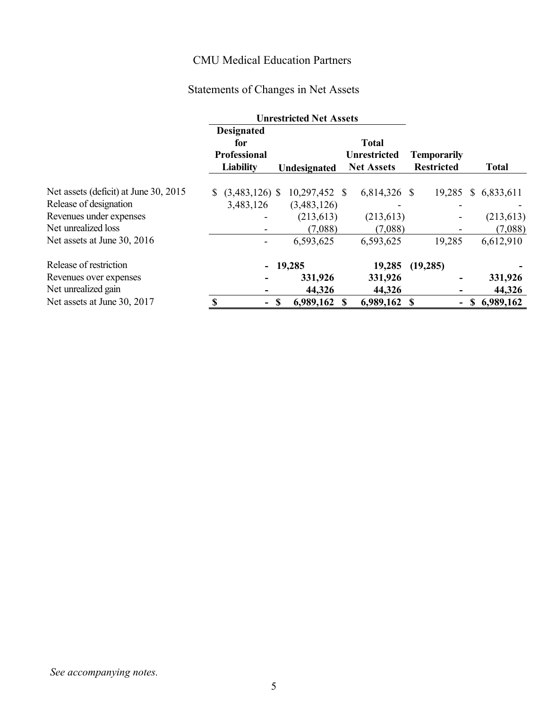# Statements of Changes in Net Assets

|                                       |                        | <b>Unrestricted Net Assets</b> |                     |                    |                            |
|---------------------------------------|------------------------|--------------------------------|---------------------|--------------------|----------------------------|
|                                       | <b>Designated</b>      |                                |                     |                    |                            |
|                                       | for                    |                                | <b>Total</b>        |                    |                            |
|                                       | <b>Professional</b>    |                                | <b>Unrestricted</b> | <b>Temporarily</b> |                            |
|                                       | <b>Liability</b>       | Undesignated                   | <b>Net Assets</b>   | <b>Restricted</b>  | <b>Total</b>               |
| Net assets (deficit) at June 30, 2015 | $(3,483,126)$ \$<br>S. | 10,297,452 \$                  | 6,814,326 \$        | 19,285             | 6,833,611<br>$\mathbb{S}$  |
| Release of designation                | 3,483,126              | (3,483,126)                    |                     |                    |                            |
| Revenues under expenses               |                        | (213, 613)                     | (213, 613)          |                    | (213, 613)                 |
| Net unrealized loss                   |                        | (7,088)                        | (7,088)             |                    | (7,088)                    |
| Net assets at June 30, 2016           | -                      | 6,593,625                      | 6,593,625           | 19,285             | 6,612,910                  |
| Release of restriction                |                        | 19,285                         | 19,285              | (19, 285)          |                            |
| Revenues over expenses                |                        | 331,926                        | 331,926             | Ξ.                 | 331,926                    |
| Net unrealized gain                   |                        | 44,326                         | 44,326              |                    | 44,326                     |
| Net assets at June 30, 2017           | \$<br>$\sim$           | 6,989,162<br>\$                | 6,989,162 \$<br>S   | $\blacksquare$     | 6,989,162<br><sup>\$</sup> |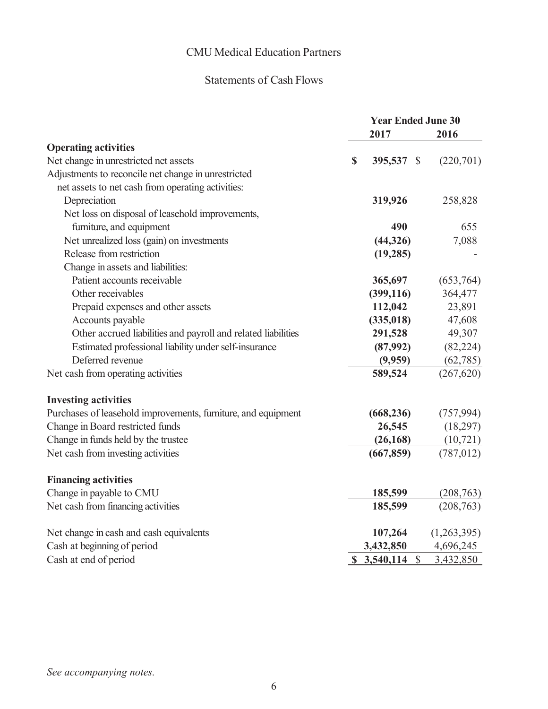# **Statements of Cash Flows**

|                                                               | <b>Year Ended June 30</b> |                             |             |
|---------------------------------------------------------------|---------------------------|-----------------------------|-------------|
|                                                               |                           | 2017                        | 2016        |
| <b>Operating activities</b>                                   |                           |                             |             |
| Net change in unrestricted net assets                         | $\mathbf S$               | 395,537 \$                  | (220,701)   |
| Adjustments to reconcile net change in unrestricted           |                           |                             |             |
| net assets to net cash from operating activities:             |                           |                             |             |
| Depreciation                                                  |                           | 319,926                     | 258,828     |
| Net loss on disposal of leasehold improvements,               |                           |                             |             |
| furniture, and equipment                                      |                           | 490                         | 655         |
| Net unrealized loss (gain) on investments                     |                           | (44, 326)                   | 7,088       |
| Release from restriction                                      |                           | (19, 285)                   |             |
| Change in assets and liabilities:                             |                           |                             |             |
| Patient accounts receivable                                   |                           | 365,697                     | (653, 764)  |
| Other receivables                                             |                           | (399, 116)                  | 364,477     |
| Prepaid expenses and other assets                             |                           | 112,042                     | 23,891      |
| Accounts payable                                              |                           | (335, 018)                  | 47,608      |
| Other accrued liabilities and payroll and related liabilities |                           | 291,528                     | 49,307      |
| Estimated professional liability under self-insurance         |                           | (87,992)                    | (82, 224)   |
| Deferred revenue                                              |                           | (9,959)                     | (62, 785)   |
| Net cash from operating activities                            |                           | 589,524                     | (267, 620)  |
| <b>Investing activities</b>                                   |                           |                             |             |
| Purchases of leasehold improvements, furniture, and equipment |                           | (668, 236)                  | (757, 994)  |
| Change in Board restricted funds                              |                           | 26,545                      | (18,297)    |
| Change in funds held by the trustee                           |                           | (26, 168)                   | (10, 721)   |
| Net cash from investing activities                            |                           | (667, 859)                  | (787, 012)  |
| <b>Financing activities</b>                                   |                           |                             |             |
| Change in payable to CMU                                      |                           | 185,599                     | (208, 763)  |
| Net cash from financing activities                            |                           | 185,599                     | (208, 763)  |
| Net change in cash and cash equivalents                       |                           | 107,264                     | (1,263,395) |
| Cash at beginning of period                                   |                           | 3,432,850                   | 4,696,245   |
| Cash at end of period                                         |                           | $\mathbb{S}$<br>\$3,540,114 | 3,432,850   |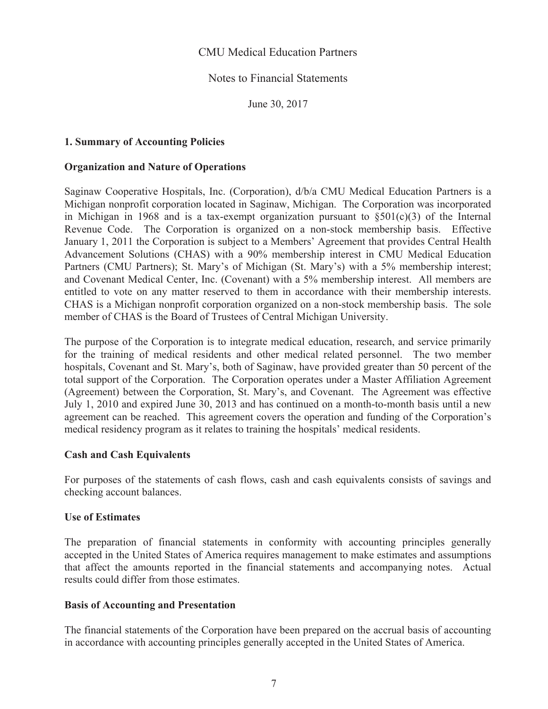## Notes to Financial Statements

June 30, 2017

## **1. Summary of Accounting Policies**

## **Organization and Nature of Operations**

Saginaw Cooperative Hospitals, Inc. (Corporation), d/b/a CMU Medical Education Partners is a Michigan nonprofit corporation located in Saginaw, Michigan. The Corporation was incorporated in Michigan in 1968 and is a tax-exempt organization pursuant to  $\S501(c)(3)$  of the Internal Revenue Code. The Corporation is organized on a non-stock membership basis. Effective January 1, 2011 the Corporation is subject to a Members' Agreement that provides Central Health Advancement Solutions (CHAS) with a 90% membership interest in CMU Medical Education Partners (CMU Partners); St. Mary's of Michigan (St. Mary's) with a 5% membership interest; and Covenant Medical Center, Inc. (Covenant) with a 5% membership interest. All members are entitled to vote on any matter reserved to them in accordance with their membership interests. CHAS is a Michigan nonprofit corporation organized on a non-stock membership basis. The sole member of CHAS is the Board of Trustees of Central Michigan University.

The purpose of the Corporation is to integrate medical education, research, and service primarily for the training of medical residents and other medical related personnel. The two member hospitals, Covenant and St. Mary's, both of Saginaw, have provided greater than 50 percent of the total support of the Corporation. The Corporation operates under a Master Affiliation Agreement (Agreement) between the Corporation, St. Mary's, and Covenant. The Agreement was effective July 1, 2010 and expired June 30, 2013 and has continued on a month-to-month basis until a new agreement can be reached. This agreement covers the operation and funding of the Corporation's medical residency program as it relates to training the hospitals' medical residents.

## **Cash and Cash Equivalents**

For purposes of the statements of cash flows, cash and cash equivalents consists of savings and checking account balances.

## **Use of Estimates**

The preparation of financial statements in conformity with accounting principles generally accepted in the United States of America requires management to make estimates and assumptions that affect the amounts reported in the financial statements and accompanying notes. Actual results could differ from those estimates.

## **Basis of Accounting and Presentation**

The financial statements of the Corporation have been prepared on the accrual basis of accounting in accordance with accounting principles generally accepted in the United States of America.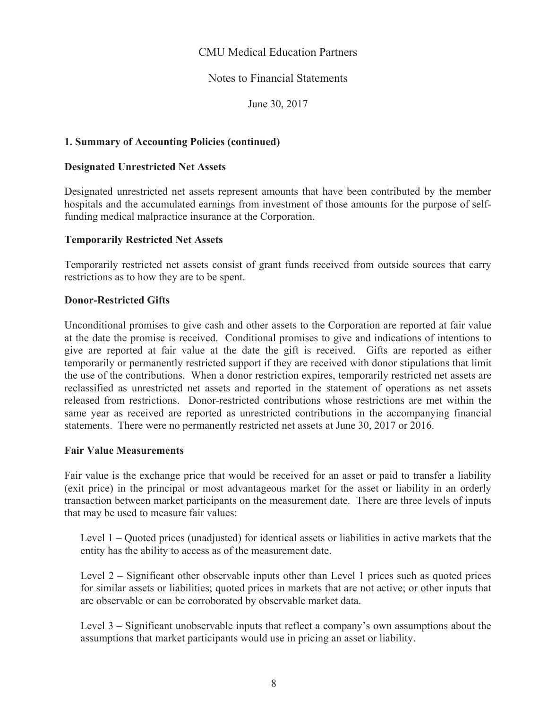## **Notes to Financial Statements**

June 30, 2017

## **1. Summary of Accounting Policies (continued)**

## **Designated Unrestricted Net Assets**

Designated unrestricted net assets represent amounts that have been contributed by the member hospitals and the accumulated earnings from investment of those amounts for the purpose of selffunding medical malpractice insurance at the Corporation.

## **Temporarily Restricted Net Assets**

Temporarily restricted net assets consist of grant funds received from outside sources that carry restrictions as to how they are to be spent.

## **Donor-Restricted Gifts**

Unconditional promises to give cash and other assets to the Corporation are reported at fair value at the date the promise is received. Conditional promises to give and indications of intentions to give are reported at fair value at the date the gift is received. Gifts are reported as either temporarily or permanently restricted support if they are received with donor stipulations that limit the use of the contributions. When a donor restriction expires, temporarily restricted net assets are reclassified as unrestricted net assets and reported in the statement of operations as net assets released from restrictions. Donor-restricted contributions whose restrictions are met within the same year as received are reported as unrestricted contributions in the accompanying financial statements. There were no permanently restricted net assets at June 30, 2017 or 2016.

## **Fair Value Measurements**

Fair value is the exchange price that would be received for an asset or paid to transfer a liability (exit price) in the principal or most advantageous market for the asset or liability in an orderly transaction between market participants on the measurement date. There are three levels of inputs that may be used to measure fair values:

Level  $1$  – Quoted prices (unadjusted) for identical assets or liabilities in active markets that the entity has the ability to access as of the measurement date.

Level  $2$  – Significant other observable inputs other than Level 1 prices such as quoted prices for similar assets or liabilities; quoted prices in markets that are not active; or other inputs that are observable or can be corroborated by observable market data.

Level 3 – Significant unobservable inputs that reflect a company's own assumptions about the assumptions that market participants would use in pricing an asset or liability.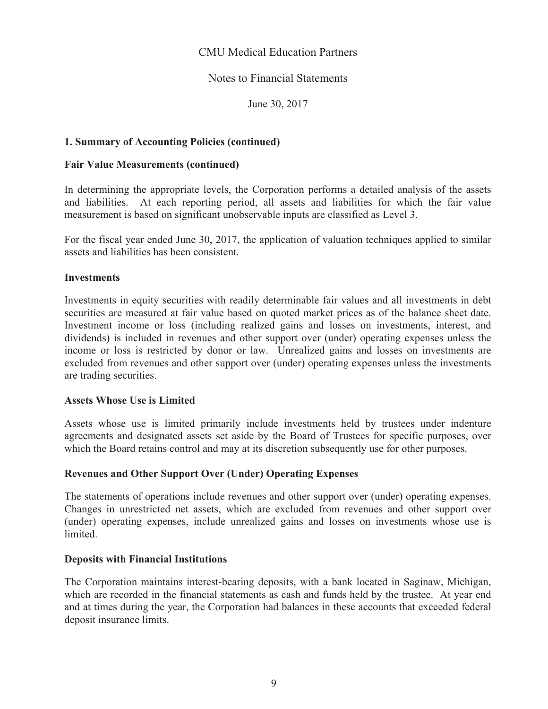## **Notes to Financial Statements**

June 30, 2017

## **1. Summary of Accounting Policies (continued)**

## **Fair Value Measurements (continued)**

In determining the appropriate levels, the Corporation performs a detailed analysis of the assets and liabilities. At each reporting period, all assets and liabilities for which the fair value measurement is based on significant unobservable inputs are classified as Level 3.

For the fiscal year ended June 30, 2017, the application of valuation techniques applied to similar assets and liabilities has been consistent.

#### **Investments**

Investments in equity securities with readily determinable fair values and all investments in debt securities are measured at fair value based on quoted market prices as of the balance sheet date. Investment income or loss (including realized gains and losses on investments, interest, and dividends) is included in revenues and other support over (under) operating expenses unless the income or loss is restricted by donor or law. Unrealized gains and losses on investments are excluded from revenues and other support over (under) operating expenses unless the investments are trading securities.

## **Assets Whose Use is Limited**

Assets whose use is limited primarily include investments held by trustees under indenture agreements and designated assets set aside by the Board of Trustees for specific purposes, over which the Board retains control and may at its discretion subsequently use for other purposes.

## **Revenues and Other Support Over (Under) Operating Expenses**

The statements of operations include revenues and other support over (under) operating expenses. Changes in unrestricted net assets, which are excluded from revenues and other support over (under) operating expenses, include unrealized gains and losses on investments whose use is limited.

## **Deposits with Financial Institutions**

The Corporation maintains interest-bearing deposits, with a bank located in Saginaw, Michigan, which are recorded in the financial statements as cash and funds held by the trustee. At year end and at times during the year, the Corporation had balances in these accounts that exceeded federal deposit insurance limits.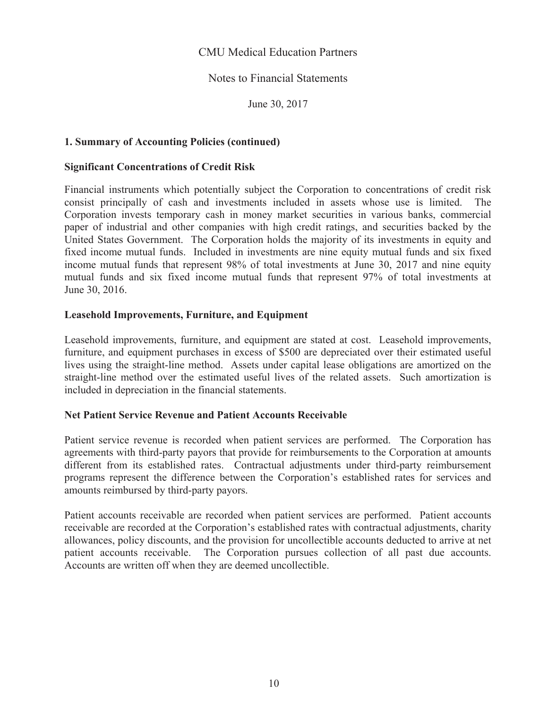## **Notes to Financial Statements**

June 30, 2017

## **1. Summary of Accounting Policies (continued)**

## **Significant Concentrations of Credit Risk**

Financial instruments which potentially subject the Corporation to concentrations of credit risk consist principally of cash and investments included in assets whose use is limited. The Corporation invests temporary cash in money market securities in various banks, commercial paper of industrial and other companies with high credit ratings, and securities backed by the United States Government. The Corporation holds the majority of its investments in equity and fixed income mutual funds. Included in investments are nine equity mutual funds and six fixed income mutual funds that represent 98% of total investments at June 30, 2017 and nine equity mutual funds and six fixed income mutual funds that represent 97% of total investments at June 30, 2016.

## **Leasehold Improvements, Furniture, and Equipment**

Leasehold improvements, furniture, and equipment are stated at cost. Leasehold improvements, furniture, and equipment purchases in excess of \$500 are depreciated over their estimated useful lives using the straight-line method. Assets under capital lease obligations are amortized on the straight-line method over the estimated useful lives of the related assets. Such amortization is included in depreciation in the financial statements.

## **Net Patient Service Revenue and Patient Accounts Receivable**

Patient service revenue is recorded when patient services are performed. The Corporation has agreements with third-party payors that provide for reimbursements to the Corporation at amounts different from its established rates. Contractual adjustments under third-party reimbursement programs represent the difference between the Corporation's established rates for services and amounts reimbursed by third-party payors.

Patient accounts receivable are recorded when patient services are performed. Patient accounts receivable are recorded at the Corporation's established rates with contractual adjustments, charity allowances, policy discounts, and the provision for uncollectible accounts deducted to arrive at net patient accounts receivable. The Corporation pursues collection of all past due accounts. Accounts are written off when they are deemed uncollectible.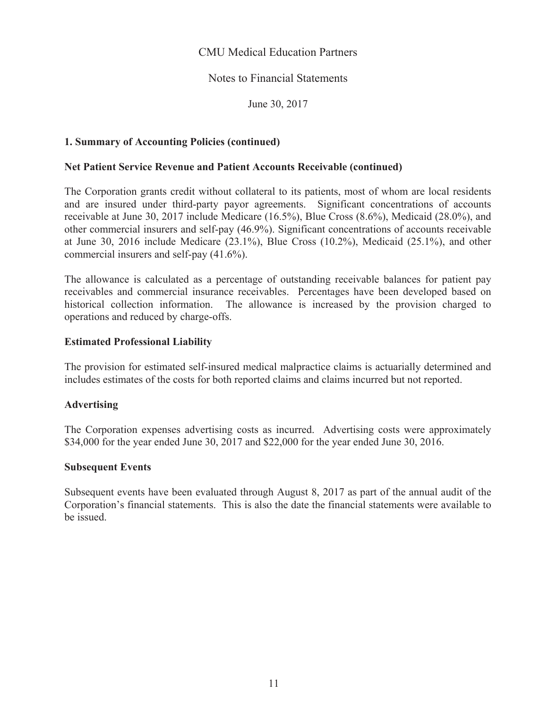## **Notes to Financial Statements**

June 30, 2017

## **1. Summary of Accounting Policies (continued)**

## **Net Patient Service Revenue and Patient Accounts Receivable (continued)**

The Corporation grants credit without collateral to its patients, most of whom are local residents and are insured under third-party payor agreements. Significant concentrations of accounts receivable at June 30, 2017 include Medicare (16.5%), Blue Cross (8.6%), Medicaid (28.0%), and other commercial insurers and self-pay (46.9%). Significant concentrations of accounts receivable at June 30, 2016 include Medicare  $(23.1\%)$ , Blue Cross  $(10.2\%)$ , Medicaid  $(25.1\%)$ , and other commercial insurers and self-pay (41.6%).

The allowance is calculated as a percentage of outstanding receivable balances for patient pay receivables and commercial insurance receivables. Percentages have been developed based on The allowance is increased by the provision charged to historical collection information. operations and reduced by charge-offs.

## **Estimated Professional Liability**

The provision for estimated self-insured medical malpractice claims is actuarially determined and includes estimates of the costs for both reported claims and claims incurred but not reported.

## **Advertising**

The Corporation expenses advertising costs as incurred. Advertising costs were approximately \$34,000 for the year ended June 30, 2017 and \$22,000 for the year ended June 30, 2016.

## **Subsequent Events**

Subsequent events have been evaluated through August 8, 2017 as part of the annual audit of the Corporation's financial statements. This is also the date the financial statements were available to be issued.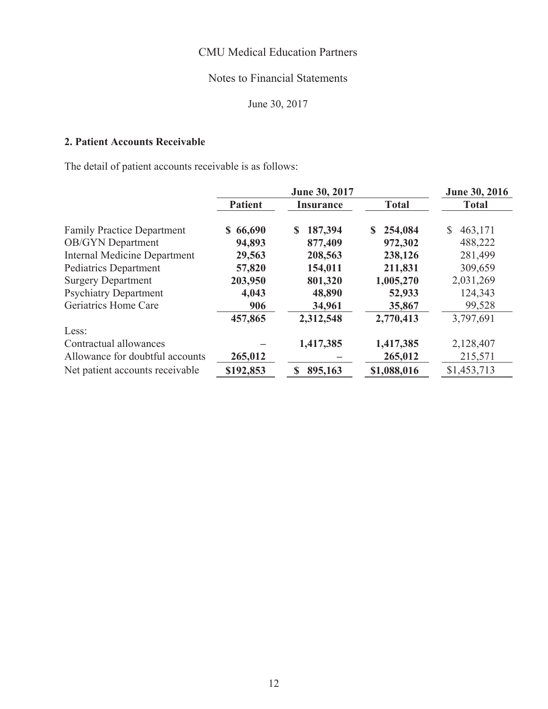# **Notes to Financial Statements**

June 30, 2017

## 2. Patient Accounts Receivable

The detail of patient accounts receivable is as follows:

|                                     |                | June 30, 2017    |               | June 30, 2016           |
|-------------------------------------|----------------|------------------|---------------|-------------------------|
|                                     | <b>Patient</b> | <b>Insurance</b> | <b>Total</b>  | <b>Total</b>            |
| <b>Family Practice Department</b>   | 66,690<br>S.   | 187,394<br>S     | 254,084<br>\$ | $\mathbb{S}$<br>463,171 |
| <b>OB/GYN</b> Department            | 94,893         | 877,409          | 972,302       | 488,222                 |
| <b>Internal Medicine Department</b> | 29,563         | 208,563          | 238,126       | 281,499                 |
| <b>Pediatrics Department</b>        | 57,820         | 154,011          | 211,831       | 309,659                 |
| <b>Surgery Department</b>           | 203,950        | 801,320          | 1,005,270     | 2,031,269               |
| <b>Psychiatry Department</b>        | 4,043          | 48,890           | 52,933        | 124,343                 |
| Geriatrics Home Care                | 906            | 34,961           | 35,867        | 99,528                  |
|                                     | 457,865        | 2,312,548        | 2,770,413     | 3,797,691               |
| Less:                               |                |                  |               |                         |
| Contractual allowances              |                | 1,417,385        | 1,417,385     | 2,128,407               |
| Allowance for doubtful accounts     | 265,012        |                  | 265,012       | 215,571                 |
| Net patient accounts receivable     | \$192,853      | 895,163<br>S     | \$1,088,016   | \$1,453,713             |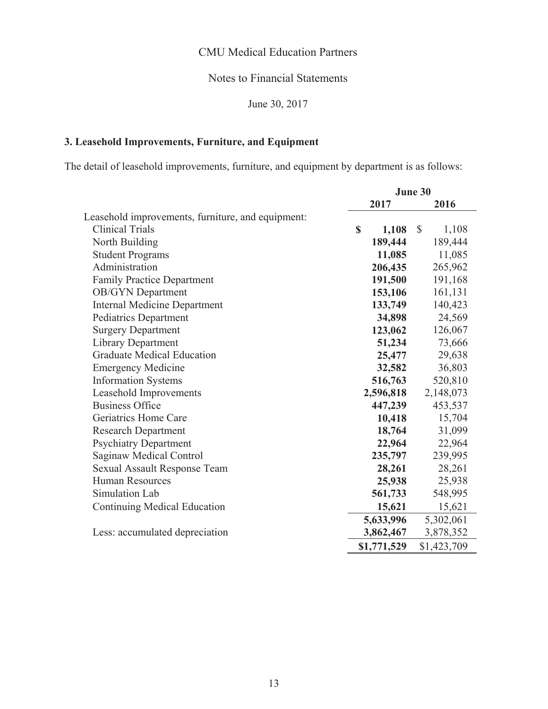# **Notes to Financial Statements**

June 30, 2017

# 3. Leasehold Improvements, Furniture, and Equipment

The detail of leasehold improvements, furniture, and equipment by department is as follows:

|                                                   | June 30 |             |              |             |
|---------------------------------------------------|---------|-------------|--------------|-------------|
|                                                   |         | 2017        |              | 2016        |
| Leasehold improvements, furniture, and equipment: |         |             |              |             |
| <b>Clinical Trials</b>                            | \$      | 1,108       | $\mathbb{S}$ | 1,108       |
| North Building                                    |         | 189,444     |              | 189,444     |
| <b>Student Programs</b>                           |         | 11,085      |              | 11,085      |
| Administration                                    |         | 206,435     |              | 265,962     |
| <b>Family Practice Department</b>                 |         | 191,500     |              | 191,168     |
| <b>OB/GYN</b> Department                          |         | 153,106     |              | 161,131     |
| <b>Internal Medicine Department</b>               |         | 133,749     |              | 140,423     |
| <b>Pediatrics Department</b>                      |         | 34,898      |              | 24,569      |
| <b>Surgery Department</b>                         |         | 123,062     |              | 126,067     |
| <b>Library Department</b>                         |         | 51,234      |              | 73,666      |
| <b>Graduate Medical Education</b>                 |         | 25,477      |              | 29,638      |
| <b>Emergency Medicine</b>                         |         | 32,582      |              | 36,803      |
| <b>Information Systems</b>                        |         | 516,763     |              | 520,810     |
| Leasehold Improvements                            |         | 2,596,818   |              | 2,148,073   |
| <b>Business Office</b>                            |         | 447,239     |              | 453,537     |
| Geriatrics Home Care                              |         | 10,418      |              | 15,704      |
| <b>Research Department</b>                        |         | 18,764      |              | 31,099      |
| <b>Psychiatry Department</b>                      |         | 22,964      |              | 22,964      |
| Saginaw Medical Control                           |         | 235,797     |              | 239,995     |
| <b>Sexual Assault Response Team</b>               |         | 28,261      |              | 28,261      |
| <b>Human Resources</b>                            |         | 25,938      |              | 25,938      |
| Simulation Lab                                    |         | 561,733     |              | 548,995     |
| <b>Continuing Medical Education</b>               |         | 15,621      |              | 15,621      |
|                                                   |         | 5,633,996   |              | 5,302,061   |
| Less: accumulated depreciation                    |         | 3,862,467   |              | 3,878,352   |
|                                                   |         | \$1,771,529 |              | \$1,423,709 |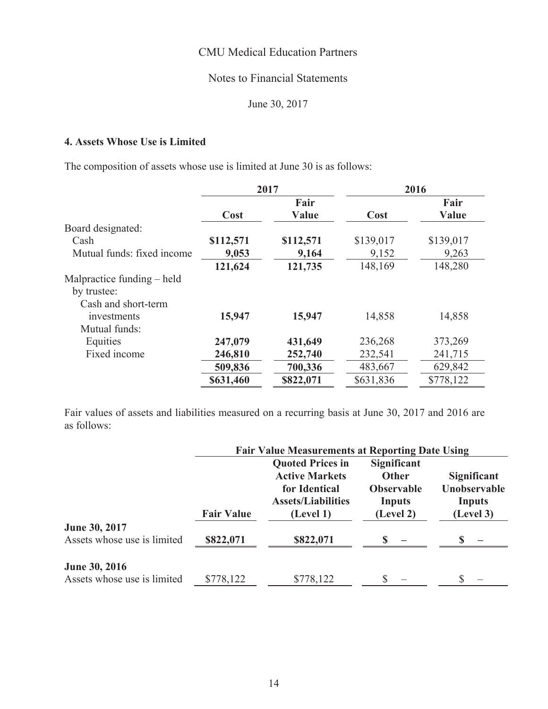## **Notes to Financial Statements**

June 30, 2017

## 4. Assets Whose Use is Limited

The composition of assets whose use is limited at June 30 is as follows:

|                            | 2017      |                      |           | 2016          |
|----------------------------|-----------|----------------------|-----------|---------------|
|                            | Cost      | Fair<br><b>Value</b> | Cost      | Fair<br>Value |
| Board designated:          |           |                      |           |               |
| Cash                       | \$112,571 | \$112,571            | \$139,017 | \$139,017     |
| Mutual funds: fixed income | 9,053     | 9,164                | 9,152     | 9,263         |
|                            | 121,624   | 121,735              | 148,169   | 148,280       |
| Malpractice funding – held |           |                      |           |               |
| by trustee:                |           |                      |           |               |
| Cash and short-term        |           |                      |           |               |
| investments                | 15,947    | 15,947               | 14,858    | 14,858        |
| Mutual funds:              |           |                      |           |               |
| Equities                   | 247,079   | 431,649              | 236,268   | 373,269       |
| Fixed income               | 246,810   | 252,740              | 232,541   | 241,715       |
|                            | 509,836   | 700,336              | 483,667   | 629,842       |
|                            | \$631,460 | \$822,071            | \$631,836 | \$778,122     |

Fair values of assets and liabilities measured on a recurring basis at June 30, 2017 and 2016 are as follows:

|                                                     | <b>Fair Value Measurements at Reporting Date Using</b> |                                                                                                             |                                                                                |                                                    |  |
|-----------------------------------------------------|--------------------------------------------------------|-------------------------------------------------------------------------------------------------------------|--------------------------------------------------------------------------------|----------------------------------------------------|--|
|                                                     | <b>Fair Value</b>                                      | <b>Quoted Prices in</b><br><b>Active Markets</b><br>for Identical<br><b>Assets/Liabilities</b><br>(Level 1) | <b>Significant</b><br><b>Other</b><br><b>Observable</b><br>Inputs<br>(Level 2) | Significant<br>Unobservable<br>Inputs<br>(Level 3) |  |
| June 30, 2017<br>Assets whose use is limited        | \$822,071                                              | \$822,071                                                                                                   |                                                                                |                                                    |  |
| <b>June 30, 2016</b><br>Assets whose use is limited | \$778,122                                              | \$778,122                                                                                                   | \$                                                                             |                                                    |  |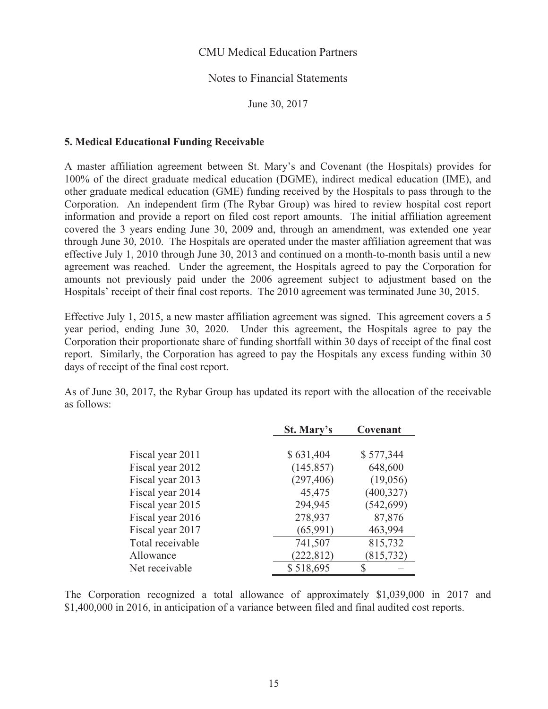#### Notes to Financial Statements

June 30, 2017

#### **5. Medical Educational Funding Receivable**

A master affiliation agreement between St. Mary's and Covenant (the Hospitals) provides for 100% of the direct graduate medical education (DGME), indirect medical education (IME), and other graduate medical education (GME) funding received by the Hospitals to pass through to the Corporation. An independent firm (The Rybar Group) was hired to review hospital cost report information and provide a report on filed cost report amounts. The initial affiliation agreement covered the 3 years ending June 30, 2009 and, through an amendment, was extended one year through June 30, 2010. The Hospitals are operated under the master affiliation agreement that was effective July 1, 2010 through June 30, 2013 and continued on a month-to-month basis until a new agreement was reached. Under the agreement, the Hospitals agreed to pay the Corporation for amounts not previously paid under the 2006 agreement subject to adjustment based on the Hospitals' receipt of their final cost reports. The 2010 agreement was terminated June 30, 2015.

Effective July 1, 2015, a new master affiliation agreement was signed. This agreement covers a 5 year period, ending June 30, 2020. Under this agreement, the Hospitals agree to pay the Corporation their proportionate share of funding shortfall within 30 days of receipt of the final cost report. Similarly, the Corporation has agreed to pay the Hospitals any excess funding within 30 days of receipt of the final cost report.

As of June 30, 2017, the Rybar Group has updated its report with the allocation of the receivable as follows:

|                  | St. Mary's | Covenant   |
|------------------|------------|------------|
|                  |            |            |
| Fiscal year 2011 | \$631,404  | \$577,344  |
| Fiscal year 2012 | (145, 857) | 648,600    |
| Fiscal year 2013 | (297, 406) | (19,056)   |
| Fiscal year 2014 | 45,475     | (400, 327) |
| Fiscal year 2015 | 294,945    | (542, 699) |
| Fiscal year 2016 | 278,937    | 87,876     |
| Fiscal year 2017 | (65,991)   | 463,994    |
| Total receivable | 741,507    | 815,732    |
| Allowance        | (222, 812) | (815, 732) |
| Net receivable   | \$518,695  | S          |

The Corporation recognized a total allowance of approximately \$1,039,000 in 2017 and \$1,400,000 in 2016, in anticipation of a variance between filed and final audited cost reports.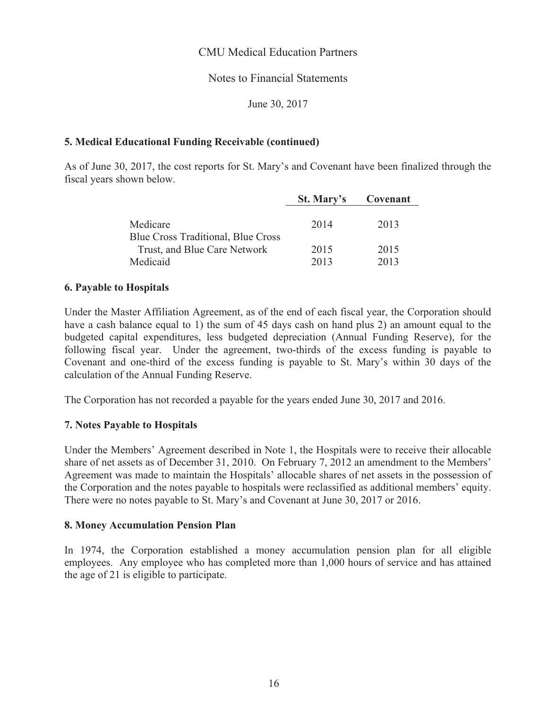## Notes to Financial Statements

June 30, 2017

## **5. Medical Educational Funding Receivable (continued)**

As of June 30, 2017, the cost reports for St. Mary's and Covenant have been finalized through the fiscal years shown below.

|                                    | St. Mary's | Covenant |
|------------------------------------|------------|----------|
|                                    |            |          |
| Medicare                           | 2014       | 2013     |
| Blue Cross Traditional, Blue Cross |            |          |
| Trust, and Blue Care Network       | 2015       | 2015     |
| Medicaid                           | 2013       | 2013     |

## **6. Payable to Hospitals**

Under the Master Affiliation Agreement, as of the end of each fiscal year, the Corporation should have a cash balance equal to 1) the sum of 45 days cash on hand plus 2) an amount equal to the budgeted capital expenditures, less budgeted depreciation (Annual Funding Reserve), for the following fiscal year. Under the agreement, two-thirds of the excess funding is payable to Covenant and one-third of the excess funding is payable to St. Mary's within 30 days of the calculation of the Annual Funding Reserve.

The Corporation has not recorded a payable for the years ended June 30, 2017 and 2016.

## **7. Notes Payable to Hospitals**

Under the Members' Agreement described in Note 1, the Hospitals were to receive their allocable share of net assets as of December 31, 2010. On February 7, 2012 an amendment to the Members' Agreement was made to maintain the Hospitals' allocable shares of net assets in the possession of the Corporation and the notes payable to hospitals were reclassified as additional members' equity. There were no notes payable to St. Mary's and Covenant at June 30, 2017 or 2016.

## **8. Money Accumulation Pension Plan**

In 1974, the Corporation established a money accumulation pension plan for all eligible employees. Any employee who has completed more than 1,000 hours of service and has attained the age of 21 is eligible to participate.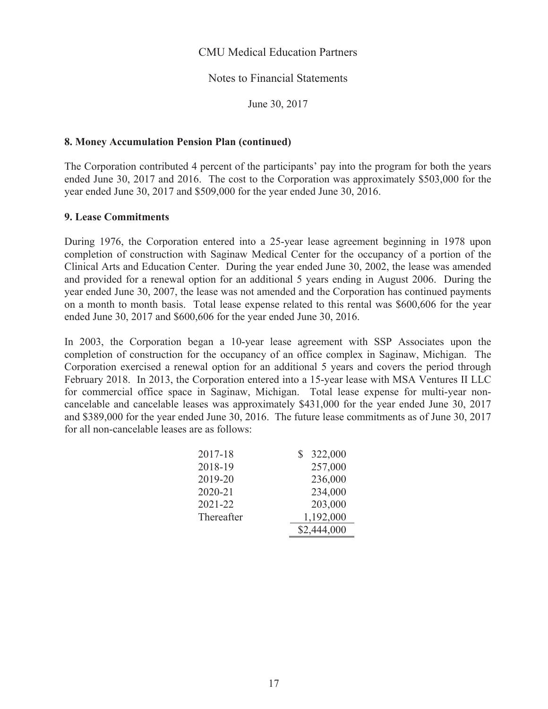## Notes to Financial Statements

June 30, 2017

#### 8. Money Accumulation Pension Plan (continued)

The Corporation contributed 4 percent of the participants' pay into the program for both the years ended June 30, 2017 and 2016. The cost to the Corporation was approximately \$503,000 for the year ended June 30, 2017 and \$509,000 for the year ended June 30, 2016.

## **9. Lease Commitments**

During 1976, the Corporation entered into a 25-year lease agreement beginning in 1978 upon completion of construction with Saginaw Medical Center for the occupancy of a portion of the Clinical Arts and Education Center. During the year ended June 30, 2002, the lease was amended and provided for a renewal option for an additional 5 years ending in August 2006. During the year ended June 30, 2007, the lease was not amended and the Corporation has continued payments on a month to month basis. Total lease expense related to this rental was \$600,606 for the year ended June 30, 2017 and \$600,606 for the year ended June 30, 2016.

In 2003, the Corporation began a 10-year lease agreement with SSP Associates upon the completion of construction for the occupancy of an office complex in Saginaw, Michigan. The Corporation exercised a renewal option for an additional 5 years and covers the period through February 2018. In 2013, the Corporation entered into a 15-year lease with MSA Ventures II LLC for commercial office space in Saginaw, Michigan. Total lease expense for multi-year noncancelable and cancelable leases was approximately \$431,000 for the year ended June 30, 2017 and \$389,000 for the year ended June 30, 2016. The future lease commitments as of June 30, 2017 for all non-cancelable leases are as follows:

| 2017-18    | 322,000     |
|------------|-------------|
| 2018-19    | 257,000     |
| 2019-20    | 236,000     |
| 2020-21    | 234,000     |
| 2021-22    | 203,000     |
| Thereafter | 1,192,000   |
|            | \$2,444,000 |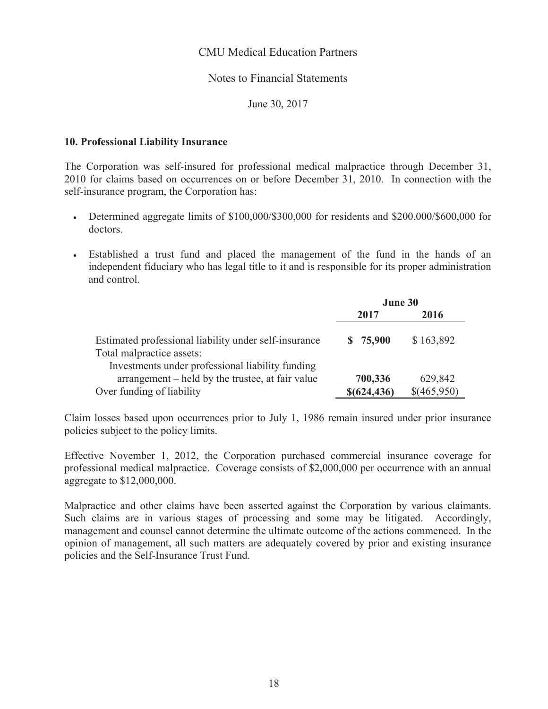## Notes to Financial Statements

June 30, 2017

## 10. Professional Liability Insurance

The Corporation was self-insured for professional medical malpractice through December 31, 2010 for claims based on occurrences on or before December 31, 2010. In connection with the self-insurance program, the Corporation has:

- Determined aggregate limits of \$100,000/\$300,000 for residents and \$200,000/\$600,000 for  $\bullet$ doctors.
- Established a trust fund and placed the management of the fund in the hands of an  $\bullet$ independent fiduciary who has legal title to it and is responsible for its proper administration and control.

|                                                       | June 30     |             |
|-------------------------------------------------------|-------------|-------------|
|                                                       | 2017        | 2016        |
| Estimated professional liability under self-insurance | \$75,900    | \$163,892   |
| Total malpractice assets:                             |             |             |
| Investments under professional liability funding      |             |             |
| arrangement – held by the trustee, at fair value      | 700,336     | 629,842     |
| Over funding of liability                             | \$(624,436) | \$(465,950) |

Claim losses based upon occurrences prior to July 1, 1986 remain insured under prior insurance policies subject to the policy limits.

Effective November 1, 2012, the Corporation purchased commercial insurance coverage for professional medical malpractice. Coverage consists of \$2,000,000 per occurrence with an annual aggregate to  $$12,000,000$ .

Malpractice and other claims have been asserted against the Corporation by various claimants. Such claims are in various stages of processing and some may be litigated. Accordingly, management and counsel cannot determine the ultimate outcome of the actions commenced. In the opinion of management, all such matters are adequately covered by prior and existing insurance policies and the Self-Insurance Trust Fund.